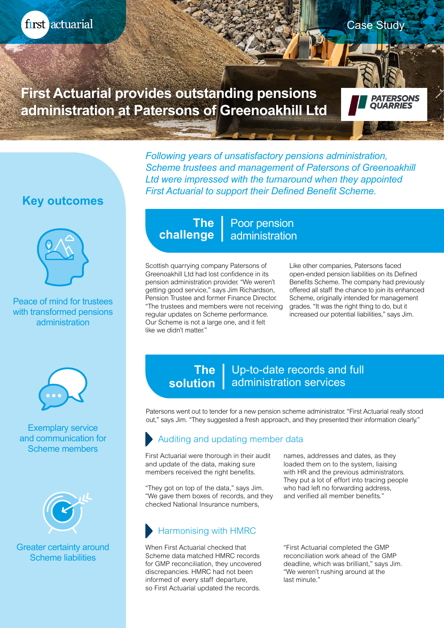

**First Actuarial provides outstanding pensions administration at Patersons of Greenoakhill Ltd**

**Key outcomes**



Peace of mind for trustees with transformed pensions administration



Exemplary service and communication for Scheme members



Greater certainty around Scheme liabilities

#### Poor pension **challenge** | administration **The**

Scottish quarrying company Patersons of Greenoakhill Ltd had lost confidence in its pension administration provider. "We weren't getting good service," says Jim Richardson, Pension Trustee and former Finance Director. "The trustees and members were not receiving regular updates on Scheme performance. Our Scheme is not a large one, and it felt like we didn't matter."

Like other companies, Patersons faced open-ended pension liabilities on its Defined Benefits Scheme. The company had previously offered all staff the chance to join its enhanced Scheme, originally intended for management grades. "It was the right thing to do, but it increased our potential liabilities," says Jim.

Case Study

*PATERSONS<br>QUARRIES* 

#### Up-to-date records and full solution | administration services **The**

*Following years of unsatisfactory pensions administration,* 

*First Actuarial to support their Defined Benefit Scheme.*

*Scheme trustees and management of Patersons of Greenoakhill Ltd were impressed with the turnaround when they appointed* 

Patersons went out to tender for a new pension scheme administrator. "First Actuarial really stood out," says Jim. "They suggested a fresh approach, and they presented their information clearly."

## Auditing and updating member data

First Actuarial were thorough in their audit and update of the data, making sure members received the right benefits.

"They got on top of the data," says Jim. "We gave them boxes of records, and they checked National Insurance numbers,

# Harmonising with HMRC

When First Actuarial checked that Scheme data matched HMRC records for GMP reconciliation, they uncovered discrepancies. HMRC had not been informed of every staff departure, so First Actuarial updated the records.

names, addresses and dates, as they loaded them on to the system, liaising with HR and the previous administrators. They put a lot of effort into tracing people who had left no forwarding address, and verified all member benefits."

"First Actuarial completed the GMP reconciliation work ahead of the GMP deadline, which was brilliant," says Jim. "We weren't rushing around at the last minute."